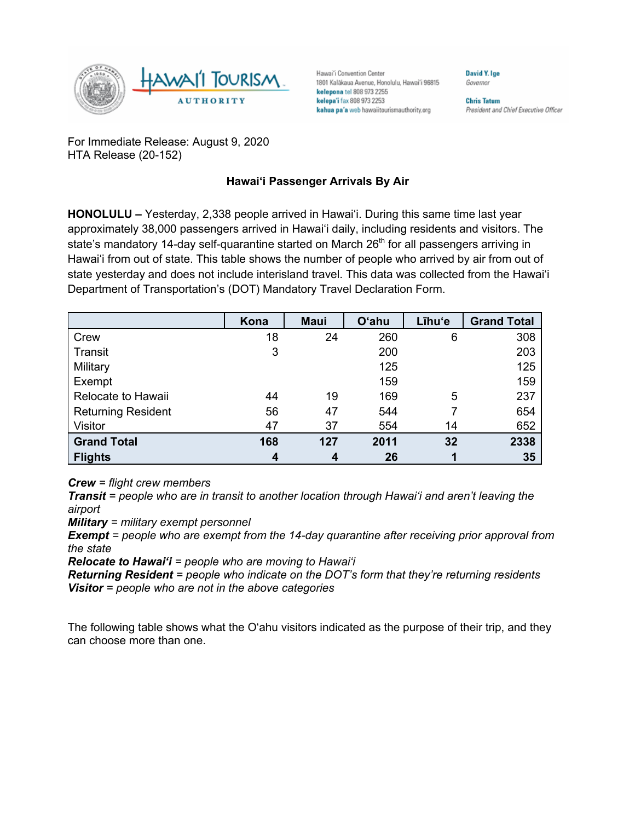

Hawai'i Convention Center 1801 Kalākaua Avenue, Honolulu, Hawai'i 96815 kelepona tel 808 973 2255 kelepa'i fax 808 973 2253 kahua pa'a web hawaiitourismauthority.org

Governor **Chris Tatum** 

**David Y. Ige** 

President and Chief Executive Officer

For Immediate Release: August 9, 2020 HTA Release (20-152)

## **Hawai'i Passenger Arrivals By Air**

**HONOLULU –** Yesterday, 2,338 people arrived in Hawai'i. During this same time last year approximately 38,000 passengers arrived in Hawai'i daily, including residents and visitors. The state's mandatory 14-day self-quarantine started on March  $26<sup>th</sup>$  for all passengers arriving in Hawai'i from out of state. This table shows the number of people who arrived by air from out of state yesterday and does not include interisland travel. This data was collected from the Hawai'i Department of Transportation's (DOT) Mandatory Travel Declaration Form.

|                           | Kona | <b>Maui</b> | <b>O'ahu</b> | Līhu'e | <b>Grand Total</b> |
|---------------------------|------|-------------|--------------|--------|--------------------|
| Crew                      | 18   | 24          | 260          | 6      | 308                |
| Transit                   | 3    |             | 200          |        | 203                |
| Military                  |      |             | 125          |        | 125                |
| Exempt                    |      |             | 159          |        | 159                |
| Relocate to Hawaii        | 44   | 19          | 169          | 5      | 237                |
| <b>Returning Resident</b> | 56   | 47          | 544          |        | 654                |
| Visitor                   | 47   | 37          | 554          | 14     | 652                |
| <b>Grand Total</b>        | 168  | 127         | 2011         | 32     | 2338               |
| <b>Flights</b>            | 4    | 4           | 26           |        | 35                 |

*Crew = flight crew members*

*Transit = people who are in transit to another location through Hawai'i and aren't leaving the airport*

*Military = military exempt personnel*

*Exempt = people who are exempt from the 14-day quarantine after receiving prior approval from the state*

*Relocate to Hawai'i = people who are moving to Hawai'i*

*Returning Resident = people who indicate on the DOT's form that they're returning residents Visitor = people who are not in the above categories*

The following table shows what the O'ahu visitors indicated as the purpose of their trip, and they can choose more than one.